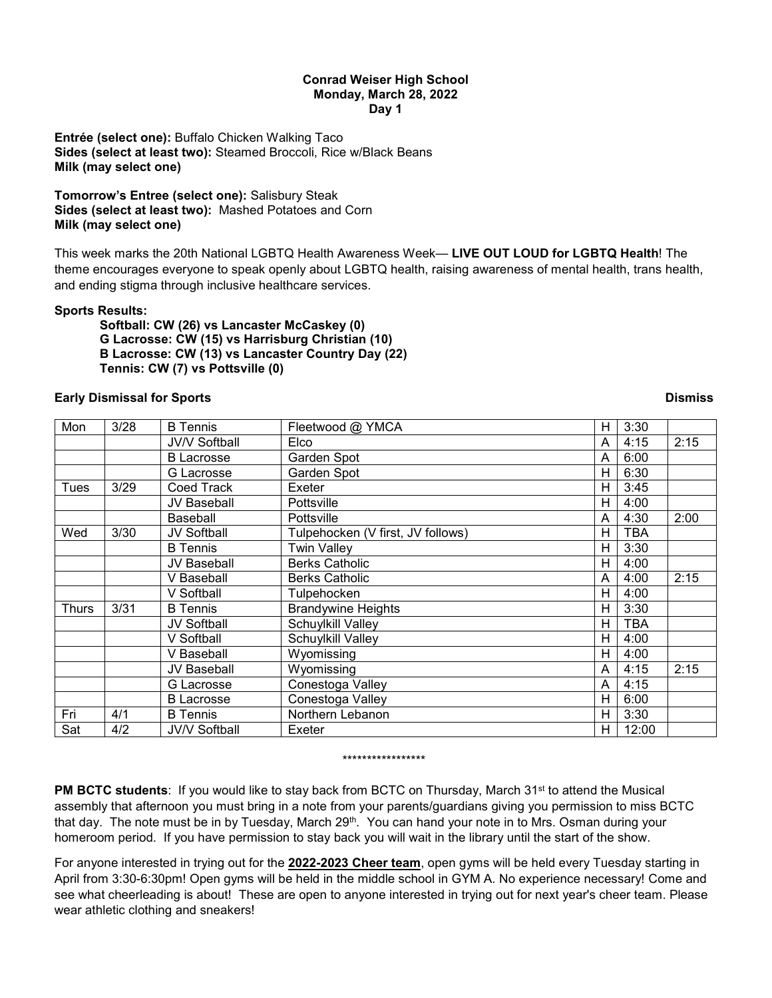### **Conrad Weiser High School Monday, March 28, 2022 Day 1**

**Entrée (select one):** Buffalo Chicken Walking Taco **Sides (select at least two):** Steamed Broccoli, Rice w/Black Beans **Milk (may select one)**

**Tomorrow's Entree (select one):** Salisbury Steak **Sides (select at least two):** Mashed Potatoes and Corn **Milk (may select one)**

This week marks the 20th National LGBTQ Health Awareness Week— **LIVE OUT LOUD for LGBTQ Health**! The theme encourages everyone to speak openly about LGBTQ health, raising awareness of mental health, trans health, and ending stigma through inclusive healthcare services.

# **Sports Results:**

**Softball: CW (26) vs Lancaster McCaskey (0) G Lacrosse: CW (15) vs Harrisburg Christian (10) B Lacrosse: CW (13) vs Lancaster Country Day (22) Tennis: CW (7) vs Pottsville (0)**

## **Early Dismissal for Sports Dismiss**

| Mon          | 3/28 | <b>B</b> Tennis      | Fleetwood @ YMCA                  | Н | 3:30  |      |
|--------------|------|----------------------|-----------------------------------|---|-------|------|
|              |      | <b>JV/V Softball</b> | Elco                              |   | 4:15  | 2:15 |
|              |      | <b>B</b> Lacrosse    | Garden Spot                       | A | 6:00  |      |
|              |      | G Lacrosse           | Garden Spot                       | н | 6:30  |      |
| Tues         | 3/29 | Coed Track           | Exeter                            | н | 3:45  |      |
|              |      | JV Baseball          | Pottsville                        | н | 4:00  |      |
|              |      | <b>Baseball</b>      | Pottsville                        | A | 4:30  | 2:00 |
| Wed          | 3/30 | JV Softball          | Tulpehocken (V first, JV follows) | н | TBA   |      |
|              |      | <b>B</b> Tennis      | <b>Twin Valley</b>                | н | 3:30  |      |
|              |      | <b>JV Baseball</b>   | <b>Berks Catholic</b>             | н | 4:00  |      |
|              |      | V Baseball           | <b>Berks Catholic</b>             | A | 4:00  | 2:15 |
|              |      | V Softball           | Tulpehocken                       | н | 4:00  |      |
| <b>Thurs</b> | 3/31 | <b>B</b> Tennis      | <b>Brandywine Heights</b>         | н | 3:30  |      |
|              |      | JV Softball          | Schuylkill Valley                 | н | TBA   |      |
|              |      | V Softball           | Schuylkill Valley                 | н | 4:00  |      |
|              |      | V Baseball           | Wyomissing                        | н | 4:00  |      |
|              |      | JV Baseball          | Wyomissing                        | A | 4:15  | 2:15 |
|              |      | G Lacrosse           | Conestoga Valley                  | A | 4:15  |      |
|              |      | <b>B</b> Lacrosse    | Conestoga Valley                  | н | 6:00  |      |
| Fri          | 4/1  | <b>B</b> Tennis      | Northern Lebanon                  | н | 3:30  |      |
| Sat          | 4/2  | JV/V Softball        | Exeter                            | H | 12:00 |      |

#### \*\*\*\*\*\*\*\*\*\*\*\*\*\*\*\*\*

**PM BCTC students**: If you would like to stay back from BCTC on Thursday, March 31<sup>st</sup> to attend the Musical assembly that afternoon you must bring in a note from your parents/guardians giving you permission to miss BCTC that day. The note must be in by Tuesday, March  $29<sup>th</sup>$ . You can hand your note in to Mrs. Osman during your homeroom period. If you have permission to stay back you will wait in the library until the start of the show.

For anyone interested in trying out for the **2022-2023 Cheer team**, open gyms will be held every Tuesday starting in April from 3:30-6:30pm! Open gyms will be held in the middle school in GYM A. No experience necessary! Come and see what cheerleading is about! These are open to anyone interested in trying out for next year's cheer team. Please wear athletic clothing and sneakers!